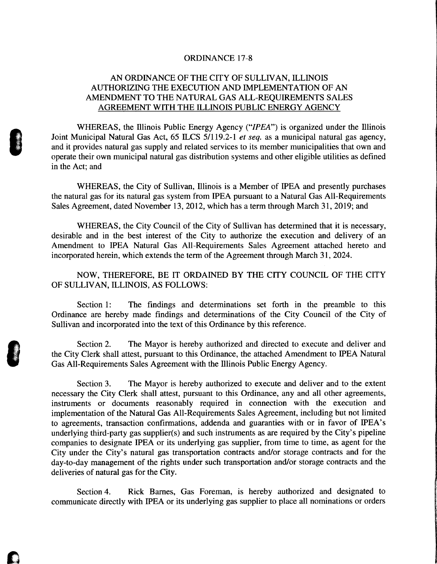## ORDINANCE 17-8

## AN ORDINANCE OF THE CITY OF SULLIVAN, ILLINOIS AUTHORIZING THE EXECUTION AND IMPLEMENTATION OF AN AMENDMENT TO THE NATURAL GAS ALL-REQUIREMENTS SALES AGREEMENT WITH THE ILLINOIS PUBLIC ENERGY AGENCY

WHEREAS, the Illinois Public Energy Agency ("IPEA") is organized under the Illinois Joint Municipal Natural Gas Act, 65 ILCS 5/119.2-1 et seq. as a municipal natural gas agency, and it provides natural gas supply and related services to its member municipalities that own and operate their own municipal natural gas distribution systems and other eligible utilities as defined in the Act; and

WHEREAS, the City of Sullivan, Illinois is a Member of IPEA and presently purchases the natural gas for its natural gas system from IPEA pursuant to <sup>a</sup> Natural Gas All-Requirements Sales Agreement, dated November 13, 2012, which has a term through March 31, 2019; and

WHEREAS, the City Council of the City of Sullivan has determined that it is necessary, desirable and in the best interest of the City to authorize the execution and delivery of an Amendment to IPEA Natural Gas All-Requirements Sales Agreement attached hereto and incorporated herein, which extends the term of the Agreement through March 31, 2024.

NOW, THEREFORE, BE IT ORDAINED BY THE CITY COUNCIL OF THE CITY OF SULLIVAN, ILLINOIS, AS FOLLOWS:

Section 1: The findings and determinations set forth in the preamble to this Ordinance are hereby made findings and determinations of the City Council of the City of Sullivan and incorporated into the text of this Ordinance by this reference.

Section 2. The Mayor is hereby authorized and directed to execute and deliver and the City Clerk shall attest, pursuant to this Ordinance, the attached Amendment to IPEA Natural Gas All-Requirements Sales Agreement with the Illinois Public Energy Agency.

Section 3. The Mayor is hereby authorized to execute and deliver and to the extent necessary the City Clerk shall attest, pursuant to this Ordinance, any and all other agreements, instruments or documents reasonably required in connection with the execution and implementation of the Natural Gas All-Requirements Sales Agreement, including but not limited to agreements, transaction confirmations, addenda and guaranties with or in favor of IPEA's underlying third-party gas supplier(s) and such instruments as are required by the City's pipeline companies to designate IPEA or its underlying gas supplier, from time to time, as agent for the City under the City's natural gas transportation contracts and/or storage contracts and for the day-to-day management of the rights under such transportation and/or storage contracts and the deliveries of natural gas for the City.

Section 4. Rick Barnes, Gas Foreman, is hereby authorized and designated to communicate directly with IPEA or its underlying gas supplier to place all nominations or orders